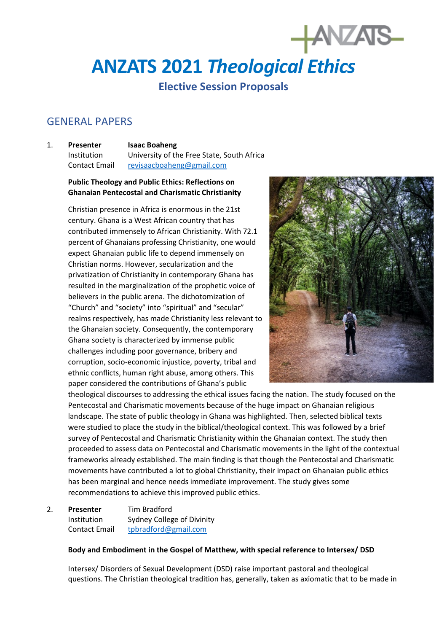# **ANZATS 2021** *Theological Ethics*

# **Elective Session Proposals**

# GENERAL PAPERS

1. **Presenter Isaac Boaheng** Institution University of the Free State, South Africa Contact Email [revisaacboaheng@gmail.com](mailto:revisaacboaheng@gmail.com)

# **Public Theology and Public Ethics: Reflections on Ghanaian Pentecostal and Charismatic Christianity**

Christian presence in Africa is enormous in the 21st century. Ghana is a West African country that has contributed immensely to African Christianity. With 72.1 percent of Ghanaians professing Christianity, one would expect Ghanaian public life to depend immensely on Christian norms. However, secularization and the privatization of Christianity in contemporary Ghana has resulted in the marginalization of the prophetic voice of believers in the public arena. The dichotomization of "Church" and "society" into "spiritual" and "secular" realms respectively, has made Christianity less relevant to the Ghanaian society. Consequently, the contemporary Ghana society is characterized by immense public challenges including poor governance, bribery and corruption, socio-economic injustice, poverty, tribal and ethnic conflicts, human right abuse, among others. This paper considered the contributions of Ghana's public



**HANZAIS** 

theological discourses to addressing the ethical issues facing the nation. The study focused on the Pentecostal and Charismatic movements because of the huge impact on Ghanaian religious landscape. The state of public theology in Ghana was highlighted. Then, selected biblical texts were studied to place the study in the biblical/theological context. This was followed by a brief survey of Pentecostal and Charismatic Christianity within the Ghanaian context. The study then proceeded to assess data on Pentecostal and Charismatic movements in the light of the contextual frameworks already established. The main finding is that though the Pentecostal and Charismatic movements have contributed a lot to global Christianity, their impact on Ghanaian public ethics has been marginal and hence needs immediate improvement. The study gives some recommendations to achieve this improved public ethics.

2. **Presenter** Tim Bradford Institution Sydney College of Divinity Contact Email [tpbradford@gmail.com](mailto:tpbradford@gmail.com)

#### **Body and Embodiment in the Gospel of Matthew, with special reference to Intersex/ DSD**

Intersex/ Disorders of Sexual Development (DSD) raise important pastoral and theological questions. The Christian theological tradition has, generally, taken as axiomatic that to be made in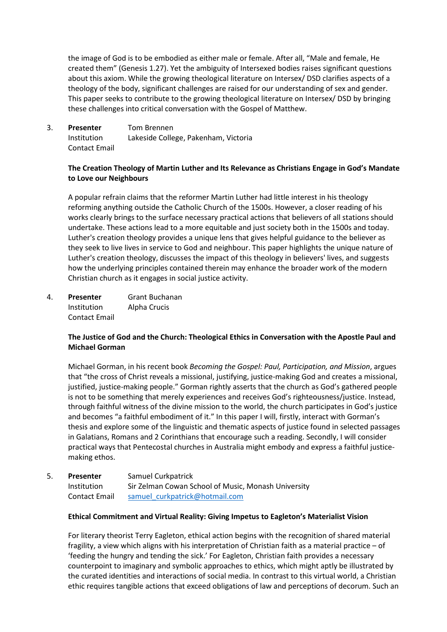the image of God is to be embodied as either male or female. After all, "Male and female, He created them" (Genesis 1.27). Yet the ambiguity of Intersexed bodies raises significant questions about this axiom. While the growing theological literature on Intersex/ DSD clarifies aspects of a theology of the body, significant challenges are raised for our understanding of sex and gender. This paper seeks to contribute to the growing theological literature on Intersex/ DSD by bringing these challenges into critical conversation with the Gospel of Matthew.

3. **Presenter** Tom Brennen Institution Lakeside College, Pakenham, Victoria Contact Email

# **The Creation Theology of Martin Luther and Its Relevance as Christians Engage in God's Mandate to Love our Neighbours**

A popular refrain claims that the reformer Martin Luther had little interest in his theology reforming anything outside the Catholic Church of the 1500s. However, a closer reading of his works clearly brings to the surface necessary practical actions that believers of all stations should undertake. These actions lead to a more equitable and just society both in the 1500s and today. Luther's creation theology provides a unique lens that gives helpful guidance to the believer as they seek to live lives in service to God and neighbour. This paper highlights the unique nature of Luther's creation theology, discusses the impact of this theology in believers' lives, and suggests how the underlying principles contained therein may enhance the broader work of the modern Christian church as it engages in social justice activity.

4. **Presenter** Grant Buchanan Institution Alpha Crucis Contact Email

# **The Justice of God and the Church: Theological Ethics in Conversation with the Apostle Paul and Michael Gorman**

Michael Gorman, in his recent book *Becoming the Gospel: Paul, Participation, and Mission*, argues that "the cross of Christ reveals a missional, justifying, justice-making God and creates a missional, justified, justice-making people." Gorman rightly asserts that the church as God's gathered people is not to be something that merely experiences and receives God's righteousness/justice. Instead, through faithful witness of the divine mission to the world, the church participates in God's justice and becomes "a faithful embodiment of it." In this paper I will, firstly, interact with Gorman's thesis and explore some of the linguistic and thematic aspects of justice found in selected passages in Galatians, Romans and 2 Corinthians that encourage such a reading. Secondly, I will consider practical ways that Pentecostal churches in Australia might embody and express a faithful justicemaking ethos.

5. **Presenter** Samuel Curkpatrick Institution Sir Zelman Cowan School of Music, Monash University Contact Email samuel curkpatrick@hotmail.com

#### **Ethical Commitment and Virtual Reality: Giving Impetus to Eagleton's Materialist Vision**

For literary theorist Terry Eagleton, ethical action begins with the recognition of shared material fragility, a view which aligns with his interpretation of Christian faith as a material practice – of 'feeding the hungry and tending the sick.' For Eagleton, Christian faith provides a necessary counterpoint to imaginary and symbolic approaches to ethics, which might aptly be illustrated by the curated identities and interactions of social media. In contrast to this virtual world, a Christian ethic requires tangible actions that exceed obligations of law and perceptions of decorum. Such an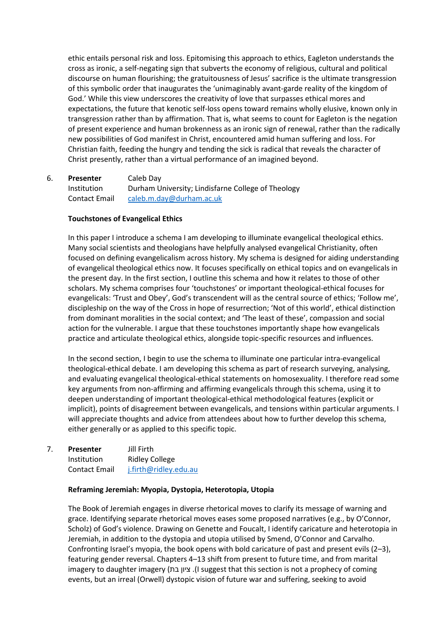ethic entails personal risk and loss. Epitomising this approach to ethics, Eagleton understands the cross as ironic, a self-negating sign that subverts the economy of religious, cultural and political discourse on human flourishing; the gratuitousness of Jesus' sacrifice is the ultimate transgression of this symbolic order that inaugurates the 'unimaginably avant-garde reality of the kingdom of God.' While this view underscores the creativity of love that surpasses ethical mores and expectations, the future that kenotic self-loss opens toward remains wholly elusive, known only in transgression rather than by affirmation. That is, what seems to count for Eagleton is the negation of present experience and human brokenness as an ironic sign of renewal, rather than the radically new possibilities of God manifest in Christ, encountered amid human suffering and loss. For Christian faith, feeding the hungry and tending the sick is radical that reveals the character of Christ presently, rather than a virtual performance of an imagined beyond.

# 6. **Presenter** Caleb Day Institution Durham University; Lindisfarne College of Theology Contact Email [caleb.m.day@durham.ac.uk](mailto:caleb.m.day@durham.ac.uk)

# **Touchstones of Evangelical Ethics**

In this paper I introduce a schema I am developing to illuminate evangelical theological ethics. Many social scientists and theologians have helpfully analysed evangelical Christianity, often focused on defining evangelicalism across history. My schema is designed for aiding understanding of evangelical theological ethics now. It focuses specifically on ethical topics and on evangelicals in the present day. In the first section, I outline this schema and how it relates to those of other scholars. My schema comprises four 'touchstones' or important theological-ethical focuses for evangelicals: 'Trust and Obey', God's transcendent will as the central source of ethics; 'Follow me', discipleship on the way of the Cross in hope of resurrection; 'Not of this world', ethical distinction from dominant moralities in the social context; and 'The least of these', compassion and social action for the vulnerable. I argue that these touchstones importantly shape how evangelicals practice and articulate theological ethics, alongside topic-specific resources and influences.

In the second section, I begin to use the schema to illuminate one particular intra-evangelical theological-ethical debate. I am developing this schema as part of research surveying, analysing, and evaluating evangelical theological-ethical statements on homosexuality. I therefore read some key arguments from non-affirming and affirming evangelicals through this schema, using it to deepen understanding of important theological-ethical methodological features (explicit or implicit), points of disagreement between evangelicals, and tensions within particular arguments. I will appreciate thoughts and advice from attendees about how to further develop this schema, either generally or as applied to this specific topic.

7. **Presenter** Jill Firth Institution Ridley College Contact Email [j.firth@ridley.edu.au](mailto:j.firth@ridley.edu.au)

#### **Reframing Jeremiah: Myopia, Dystopia, Heterotopia, Utopia**

The Book of Jeremiah engages in diverse rhetorical moves to clarify its message of warning and grace. Identifying separate rhetorical moves eases some proposed narratives (e.g., by O'Connor, Scholz) of God's violence. Drawing on Genette and Foucalt, I identify caricature and heterotopia in Jeremiah, in addition to the dystopia and utopia utilised by Smend, O'Connor and Carvalho. Confronting Israel's myopia, the book opens with bold caricature of past and present evils (2–3), featuring gender reversal. Chapters 4–13 shift from present to future time, and from marital imagery to daughter imagery (1. ציון בת) I suggest that this section is not a prophecy of coming events, but an irreal (Orwell) dystopic vision of future war and suffering, seeking to avoid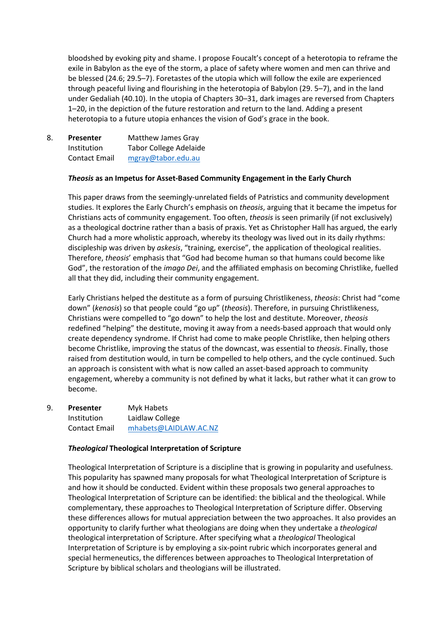bloodshed by evoking pity and shame. I propose Foucalt's concept of a heterotopia to reframe the exile in Babylon as the eye of the storm, a place of safety where women and men can thrive and be blessed (24.6; 29.5–7). Foretastes of the utopia which will follow the exile are experienced through peaceful living and flourishing in the heterotopia of Babylon (29. 5–7), and in the land under Gedaliah (40.10). In the utopia of Chapters 30–31, dark images are reversed from Chapters 1–20, in the depiction of the future restoration and return to the land. Adding a present heterotopia to a future utopia enhances the vision of God's grace in the book.

| 8. | Presenter            | Matthew James Gray            |
|----|----------------------|-------------------------------|
|    | Institution          | <b>Tabor College Adelaide</b> |
|    | <b>Contact Email</b> | mgray@tabor.edu.au            |

#### *Theosis* **as an Impetus for Asset-Based Community Engagement in the Early Church**

This paper draws from the seemingly-unrelated fields of Patristics and community development studies. It explores the Early Church's emphasis on *theosis*, arguing that it became the impetus for Christians acts of community engagement. Too often, *theosis* is seen primarily (if not exclusively) as a theological doctrine rather than a basis of praxis. Yet as Christopher Hall has argued, the early Church had a more wholistic approach, whereby its theology was lived out in its daily rhythms: discipleship was driven by *askesis*, "training, exercise", the application of theological realities. Therefore, *theosis*' emphasis that "God had become human so that humans could become like God", the restoration of the *imago Dei*, and the affiliated emphasis on becoming Christlike, fuelled all that they did, including their community engagement.

Early Christians helped the destitute as a form of pursuing Christlikeness, *theosis*: Christ had "come down" (*kenosis*) so that people could "go up" (*theosis*). Therefore, in pursuing Christlikeness, Christians were compelled to "go down" to help the lost and destitute. Moreover, *theosis*  redefined "helping" the destitute, moving it away from a needs-based approach that would only create dependency syndrome. If Christ had come to make people Christlike, then helping others become Christlike, improving the status of the downcast, was essential to *theosis*. Finally, those raised from destitution would, in turn be compelled to help others, and the cycle continued. Such an approach is consistent with what is now called an asset-based approach to community engagement, whereby a community is not defined by what it lacks, but rather what it can grow to become.

9. **Presenter** Myk Habets Institution Laidlaw College Contact Email [mhabets@LAIDLAW.AC.NZ](mailto:mhabets@LAIDLAW.AC.NZ)

#### *Theological* **Theological Interpretation of Scripture**

Theological Interpretation of Scripture is a discipline that is growing in popularity and usefulness. This popularity has spawned many proposals for what Theological Interpretation of Scripture is and how it should be conducted. Evident within these proposals two general approaches to Theological Interpretation of Scripture can be identified: the biblical and the theological. While complementary, these approaches to Theological Interpretation of Scripture differ. Observing these differences allows for mutual appreciation between the two approaches. It also provides an opportunity to clarify further what theologians are doing when they undertake a *theological*  theological interpretation of Scripture. After specifying what a *theological* Theological Interpretation of Scripture is by employing a six-point rubric which incorporates general and special hermeneutics, the differences between approaches to Theological Interpretation of Scripture by biblical scholars and theologians will be illustrated.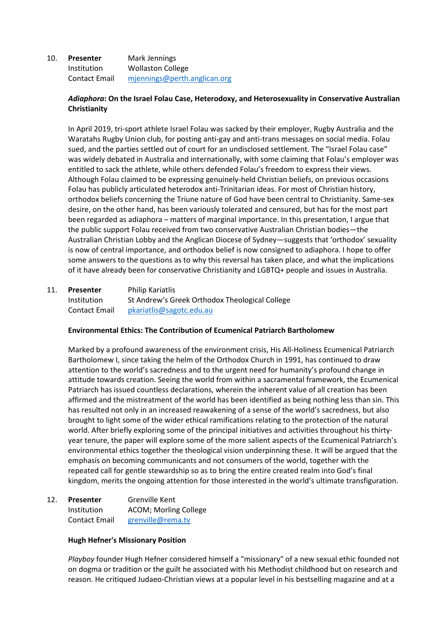# 10. **Presenter** Mark Jennings Institution Wollaston College Contact Email [mjennings@perth.anglican.org](mailto:mjennings@perth.anglican.org)

# *Adiaphora***: On the Israel Folau Case, Heterodoxy, and Heterosexuality in Conservative Australian Christianity**

In April 2019, tri-sport athlete Israel Folau was sacked by their employer, Rugby Australia and the Waratahs Rugby Union club, for posting anti-gay and anti-trans messages on social media. Folau sued, and the parties settled out of court for an undisclosed settlement. The "Israel Folau case" was widely debated in Australia and internationally, with some claiming that Folau's employer was entitled to sack the athlete, while others defended Folau's freedom to express their views. Although Folau claimed to be expressing genuinely-held Christian beliefs, on previous occasions Folau has publicly articulated heterodox anti-Trinitarian ideas. For most of Christian history, orthodox beliefs concerning the Triune nature of God have been central to Christianity. Same-sex desire, on the other hand, has been variously tolerated and censured, but has for the most part been regarded as adiaphora – matters of marginal importance. In this presentation, I argue that the public support Folau received from two conservative Australian Christian bodies—the Australian Christian Lobby and the Anglican Diocese of Sydney—suggests that 'orthodox' sexuality is now of central importance, and orthodox belief is now consigned to adiaphora. I hope to offer some answers to the questions as to why this reversal has taken place, and what the implications of it have already been for conservative Christianity and LGBTQ+ people and issues in Australia.

# 11. **Presenter** Philip Kariatlis Institution St Andrew's Greek Orthodox Theological College Contact Email [pkariatlis@sagotc.edu.au](mailto:pkariatlis@sagotc.edu.au)

#### **Environmental Ethics: The Contribution of Ecumenical Patriarch Bartholomew**

Marked by a profound awareness of the environment crisis, His All-Holiness Ecumenical Patriarch Bartholomew I, since taking the helm of the Orthodox Church in 1991, has continued to draw attention to the world's sacredness and to the urgent need for humanity's profound change in attitude towards creation. Seeing the world from within a sacramental framework, the Ecumenical Patriarch has issued countless declarations, wherein the inherent value of all creation has been affirmed and the mistreatment of the world has been identified as being nothing less than sin. This has resulted not only in an increased reawakening of a sense of the world's sacredness, but also brought to light some of the wider ethical ramifications relating to the protection of the natural world. After briefly exploring some of the principal initiatives and activities throughout his thirtyyear tenure, the paper will explore some of the more salient aspects of the Ecumenical Patriarch's environmental ethics together the theological vision underpinning these. It will be argued that the emphasis on becoming communicants and not consumers of the world, together with the repeated call for gentle stewardship so as to bring the entire created realm into God's final kingdom, merits the ongoing attention for those interested in the world's ultimate transfiguration.

# 12. **Presenter** Grenville Kent Institution ACOM; Morling College Contact Email [grenville@rema.tv](mailto:grenville@rema.tv)

#### **Hugh Hefner's Missionary Position**

*Playboy* founder Hugh Hefner considered himself a "missionary" of a new sexual ethic founded not on dogma or tradition or the guilt he associated with his Methodist childhood but on research and reason. He critiqued Judaeo-Christian views at a popular level in his bestselling magazine and at a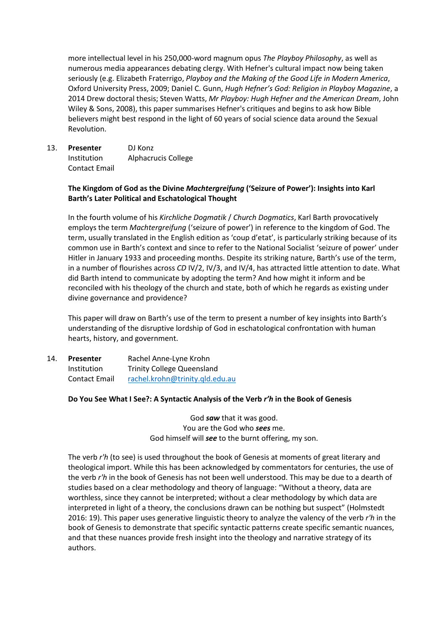more intellectual level in his 250,000-word magnum opus *The Playboy Philosophy*, as well as numerous media appearances debating clergy. With Hefner's cultural impact now being taken seriously (e.g. Elizabeth Fraterrigo, *Playboy and the Making of the Good Life in Modern America*, Oxford University Press, 2009; Daniel C. Gunn, *Hugh Hefner's God: Religion in Playboy Magazine*, a 2014 Drew doctoral thesis; Steven Watts, *Mr Playboy: Hugh Hefner and the American Dream*, John Wiley & Sons, 2008), this paper summarises Hefner's critiques and begins to ask how Bible believers might best respond in the light of 60 years of social science data around the Sexual Revolution.

13. **Presenter** DJ Konz Institution Alphacrucis College Contact Email

# **The Kingdom of God as the Divine** *Machtergreifung* **('Seizure of Power'): Insights into Karl Barth's Later Political and Eschatological Thought**

In the fourth volume of his *Kirchliche Dogmatik* / *Church Dogmatics*, Karl Barth provocatively employs the term *Machtergreifung* ('seizure of power') in reference to the kingdom of God. The term, usually translated in the English edition as 'coup d'etat', is particularly striking because of its common use in Barth's context and since to refer to the National Socialist 'seizure of power' under Hitler in January 1933 and proceeding months. Despite its striking nature, Barth's use of the term, in a number of flourishes across *CD* IV/2, IV/3, and IV/4, has attracted little attention to date. What did Barth intend to communicate by adopting the term? And how might it inform and be reconciled with his theology of the church and state, both of which he regards as existing under divine governance and providence?

This paper will draw on Barth's use of the term to present a number of key insights into Barth's understanding of the disruptive lordship of God in eschatological confrontation with human hearts, history, and government.

| 14. | Presenter            | Rachel Anne-Lyne Krohn            |
|-----|----------------------|-----------------------------------|
|     | Institution          | <b>Trinity College Queensland</b> |
|     | <b>Contact Email</b> | rachel.krohn@trinity.qld.edu.au   |

#### **Do You See What I See?: A Syntactic Analysis of the Verb** *r'h* **in the Book of Genesis**

God *saw* that it was good. You are the God who *sees* me. God himself will *see* to the burnt offering, my son.

The verb *r'h* (to see) is used throughout the book of Genesis at moments of great literary and theological import. While this has been acknowledged by commentators for centuries, the use of the verb *r'h* in the book of Genesis has not been well understood. This may be due to a dearth of studies based on a clear methodology and theory of language: "Without a theory, data are worthless, since they cannot be interpreted; without a clear methodology by which data are interpreted in light of a theory, the conclusions drawn can be nothing but suspect" (Holmstedt 2016: 19). This paper uses generative linguistic theory to analyze the valency of the verb *r'h* in the book of Genesis to demonstrate that specific syntactic patterns create specific semantic nuances, and that these nuances provide fresh insight into the theology and narrative strategy of its authors.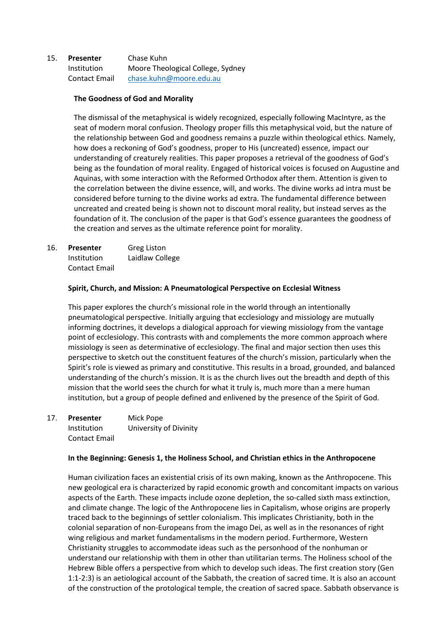# 15. **Presenter** Chase Kuhn Institution Moore Theological College, Sydney Contact Email [chase.kuhn@moore.edu.au](mailto:chase.kuhn@moore.edu.au)

### **The Goodness of God and Morality**

The dismissal of the metaphysical is widely recognized, especially following MacIntyre, as the seat of modern moral confusion. Theology proper fills this metaphysical void, but the nature of the relationship between God and goodness remains a puzzle within theological ethics. Namely, how does a reckoning of God's goodness, proper to His (uncreated) essence, impact our understanding of creaturely realities. This paper proposes a retrieval of the goodness of God's being as the foundation of moral reality. Engaged of historical voices is focused on Augustine and Aquinas, with some interaction with the Reformed Orthodox after them. Attention is given to the correlation between the divine essence, will, and works. The divine works ad intra must be considered before turning to the divine works ad extra. The fundamental difference between uncreated and created being is shown not to discount moral reality, but instead serves as the foundation of it. The conclusion of the paper is that God's essence guarantees the goodness of the creation and serves as the ultimate reference point for morality.

16. **Presenter** Greg Liston Institution Laidlaw College Contact Email

# **Spirit, Church, and Mission: A Pneumatological Perspective on Ecclesial Witness**

This paper explores the church's missional role in the world through an intentionally pneumatological perspective. Initially arguing that ecclesiology and missiology are mutually informing doctrines, it develops a dialogical approach for viewing missiology from the vantage point of ecclesiology. This contrasts with and complements the more common approach where missiology is seen as determinative of ecclesiology. The final and major section then uses this perspective to sketch out the constituent features of the church's mission, particularly when the Spirit's role is viewed as primary and constitutive. This results in a broad, grounded, and balanced understanding of the church's mission. It is as the church lives out the breadth and depth of this mission that the world sees the church for what it truly is, much more than a mere human institution, but a group of people defined and enlivened by the presence of the Spirit of God.

17. **Presenter** Mick Pope Institution University of Divinity Contact Email

#### **In the Beginning: Genesis 1, the Holiness School, and Christian ethics in the Anthropocene**

Human civilization faces an existential crisis of its own making, known as the Anthropocene. This new geological era is characterized by rapid economic growth and concomitant impacts on various aspects of the Earth. These impacts include ozone depletion, the so-called sixth mass extinction, and climate change. The logic of the Anthropocene lies in Capitalism, whose origins are properly traced back to the beginnings of settler colonialism. This implicates Christianity, both in the colonial separation of non-Europeans from the imago Dei, as well as in the resonances of right wing religious and market fundamentalisms in the modern period. Furthermore, Western Christianity struggles to accommodate ideas such as the personhood of the nonhuman or understand our relationship with them in other than utilitarian terms. The Holiness school of the Hebrew Bible offers a perspective from which to develop such ideas. The first creation story (Gen 1:1-2:3) is an aetiological account of the Sabbath, the creation of sacred time. It is also an account of the construction of the protological temple, the creation of sacred space. Sabbath observance is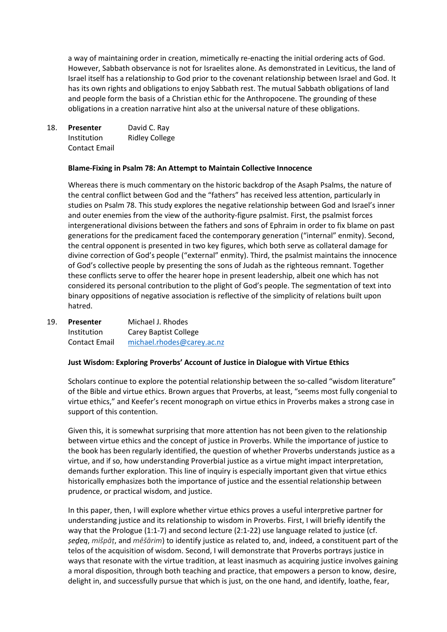a way of maintaining order in creation, mimetically re-enacting the initial ordering acts of God. However, Sabbath observance is not for Israelites alone. As demonstrated in Leviticus, the land of Israel itself has a relationship to God prior to the covenant relationship between Israel and God. It has its own rights and obligations to enjoy Sabbath rest. The mutual Sabbath obligations of land and people form the basis of a Christian ethic for the Anthropocene. The grounding of these obligations in a creation narrative hint also at the universal nature of these obligations.

18. **Presenter** David C. Ray Institution Ridley College Contact Email

#### **Blame-Fixing in Psalm 78: An Attempt to Maintain Collective Innocence**

Whereas there is much commentary on the historic backdrop of the Asaph Psalms, the nature of the central conflict between God and the "fathers" has received less attention, particularly in studies on Psalm 78. This study explores the negative relationship between God and Israel's inner and outer enemies from the view of the authority-figure psalmist. First, the psalmist forces intergenerational divisions between the fathers and sons of Ephraim in order to fix blame on past generations for the predicament faced the contemporary generation ("internal" enmity). Second, the central opponent is presented in two key figures, which both serve as collateral damage for divine correction of God's people ("external" enmity). Third, the psalmist maintains the innocence of God's collective people by presenting the sons of Judah as the righteous remnant. Together these conflicts serve to offer the hearer hope in present leadership, albeit one which has not considered its personal contribution to the plight of God's people. The segmentation of text into binary oppositions of negative association is reflective of the simplicity of relations built upon hatred.

| 19. | <b>Presenter</b> | Michael J. Rhodes            |
|-----|------------------|------------------------------|
|     | Institution      | <b>Carey Baptist College</b> |
|     | Contact Email    | michael.rhodes@carey.ac.nz   |

#### **Just Wisdom: Exploring Proverbs' Account of Justice in Dialogue with Virtue Ethics**

Scholars continue to explore the potential relationship between the so-called "wisdom literature" of the Bible and virtue ethics. Brown argues that Proverbs, at least, "seems most fully congenial to virtue ethics," and Keefer's recent monograph on virtue ethics in Proverbs makes a strong case in support of this contention.

Given this, it is somewhat surprising that more attention has not been given to the relationship between virtue ethics and the concept of justice in Proverbs. While the importance of justice to the book has been regularly identified, the question of whether Proverbs understands justice as a virtue, and if so, how understanding Proverbial justice as a virtue might impact interpretation, demands further exploration. This line of inquiry is especially important given that virtue ethics historically emphasizes both the importance of justice and the essential relationship between prudence, or practical wisdom, and justice.

In this paper, then, I will explore whether virtue ethics proves a useful interpretive partner for understanding justice and its relationship to wisdom in Proverbs. First, I will briefly identify the way that the Prologue (1:1-7) and second lecture (2:1-22) use language related to justice (cf. *ṣeḏeq*, *mišpāṭ*, and *mêšārim*) to identify justice as related to, and, indeed, a constituent part of the telos of the acquisition of wisdom. Second, I will demonstrate that Proverbs portrays justice in ways that resonate with the virtue tradition, at least inasmuch as acquiring justice involves gaining a moral disposition, through both teaching and practice, that empowers a person to know, desire, delight in, and successfully pursue that which is just, on the one hand, and identify, loathe, fear,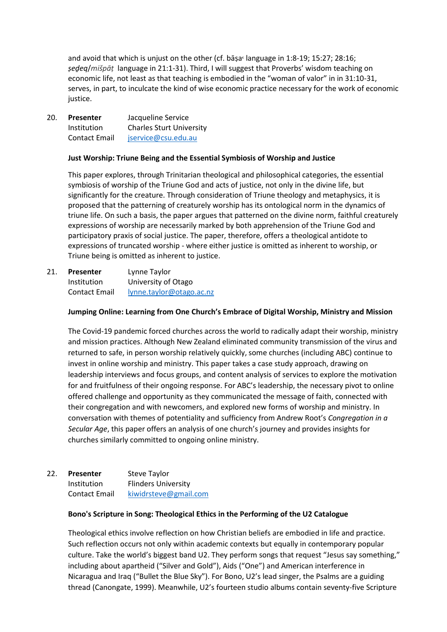and avoid that which is unjust on the other (cf. bāṣa language in 1:8-19; 15:27; 28:16; *ṣeḏeq*/*mišpāṭ* language in 21:1-31). Third, I will suggest that Proverbs' wisdom teaching on economic life, not least as that teaching is embodied in the "woman of valor" in in 31:10-31, serves, in part, to inculcate the kind of wise economic practice necessary for the work of economic justice.

20. **Presenter** Jacqueline Service Institution Charles Sturt University Contact Email [jservice@csu.edu.au](mailto:jservice@csu.edu.au)

#### **Just Worship: Triune Being and the Essential Symbiosis of Worship and Justice**

This paper explores, through Trinitarian theological and philosophical categories, the essential symbiosis of worship of the Triune God and acts of justice, not only in the divine life, but significantly for the creature. Through consideration of Triune theology and metaphysics, it is proposed that the patterning of creaturely worship has its ontological norm in the dynamics of triune life. On such a basis, the paper argues that patterned on the divine norm, faithful creaturely expressions of worship are necessarily marked by both apprehension of the Triune God and participatory praxis of social justice. The paper, therefore, offers a theological antidote to expressions of truncated worship - where either justice is omitted as inherent to worship, or Triune being is omitted as inherent to justice.

21. **Presenter** Lynne Taylor Institution University of Otago Contact Email [lynne.taylor@otago.ac.nz](mailto:lynne.taylor@otago.ac.nz)

# **Jumping Online: Learning from One Church's Embrace of Digital Worship, Ministry and Mission**

The Covid-19 pandemic forced churches across the world to radically adapt their worship, ministry and mission practices. Although New Zealand eliminated community transmission of the virus and returned to safe, in person worship relatively quickly, some churches (including ABC) continue to invest in online worship and ministry. This paper takes a case study approach, drawing on leadership interviews and focus groups, and content analysis of services to explore the motivation for and fruitfulness of their ongoing response. For ABC's leadership, the necessary pivot to online offered challenge and opportunity as they communicated the message of faith, connected with their congregation and with newcomers, and explored new forms of worship and ministry. In conversation with themes of potentiality and sufficiency from Andrew Root's *Congregation in a Secular Age*, this paper offers an analysis of one church's journey and provides insights for churches similarly committed to ongoing online ministry.

## 22. **Presenter** Steve Taylor Institution Flinders University Contact Email [kiwidrsteve@gmail.com](mailto:kiwidrsteve@gmail.com)

#### **Bono's Scripture in Song: Theological Ethics in the Performing of the U2 Catalogue**

Theological ethics involve reflection on how Christian beliefs are embodied in life and practice. Such reflection occurs not only within academic contexts but equally in contemporary popular culture. Take the world's biggest band U2. They perform songs that request "Jesus say something," including about apartheid ("Silver and Gold"), Aids ("One") and American interference in Nicaragua and Iraq ("Bullet the Blue Sky"). For Bono, U2's lead singer, the Psalms are a guiding thread (Canongate, 1999). Meanwhile, U2's fourteen studio albums contain seventy-five Scripture